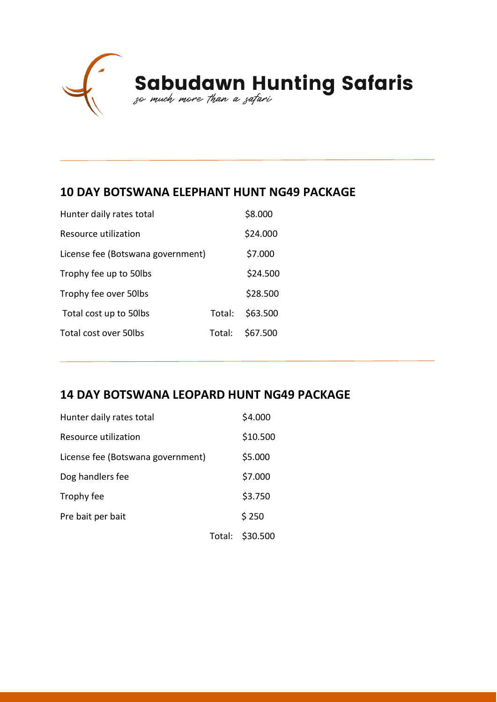

# Sabudawn Hunting Safaris

## **10 DAY BOTSWANA ELEPHANT HUNT NG49 PACKAGE**

| Hunter daily rates total          |        | \$8.000  |
|-----------------------------------|--------|----------|
| Resource utilization              |        | \$24.000 |
| License fee (Botswana government) |        | \$7.000  |
| Trophy fee up to 50lbs            |        | \$24.500 |
| Trophy fee over 50lbs             |        | \$28.500 |
| Total cost up to 50lbs            | Total: | \$63.500 |
| Total cost over 50lbs             | Total: | \$67.500 |

## **14 DAY BOTSWANA LEOPARD HUNT NG49 PACKAGE**

| Hunter daily rates total          |        | \$4.000  |
|-----------------------------------|--------|----------|
| Resource utilization              |        | \$10.500 |
| License fee (Botswana government) |        | \$5.000  |
| Dog handlers fee                  |        | \$7.000  |
| Trophy fee                        |        | \$3.750  |
| Pre bait per bait                 |        | \$250    |
|                                   | Total: | \$30.500 |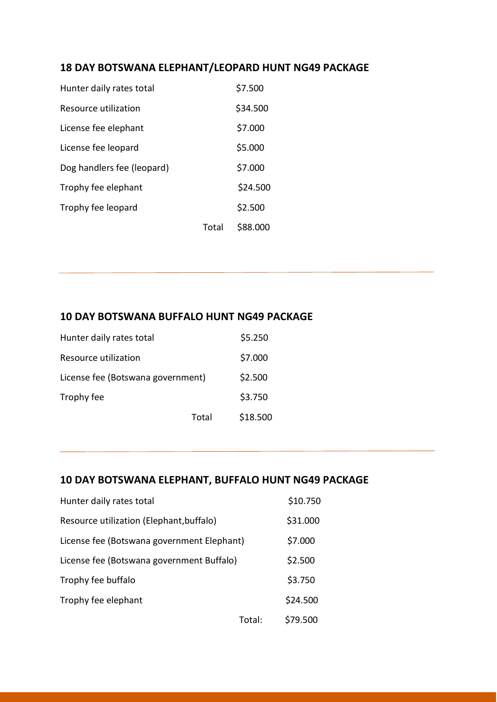## **18 DAY BOTSWANA ELEPHANT/LEOPARD HUNT NG49 PACKAGE**

| Hunter daily rates total   |       | \$7.500  |
|----------------------------|-------|----------|
| Resource utilization       |       | \$34.500 |
| License fee elephant       |       | \$7.000  |
| License fee leopard        |       | \$5.000  |
| Dog handlers fee (leopard) |       | \$7.000  |
| Trophy fee elephant        |       | \$24.500 |
| Trophy fee leopard         |       | \$2.500  |
|                            | Total | \$88.000 |

#### **10 DAY BOTSWANA BUFFALO HUNT NG49 PACKAGE**

| Hunter daily rates total          |       | \$5.250  |
|-----------------------------------|-------|----------|
| Resource utilization              |       | \$7.000  |
| License fee (Botswana government) |       | \$2.500  |
| Trophy fee                        |       | \$3.750  |
|                                   | Total | \$18.500 |

### **10 DAY BOTSWANA ELEPHANT, BUFFALO HUNT NG49 PACKAGE**

| Hunter daily rates total                   |        | \$10.750 |
|--------------------------------------------|--------|----------|
| Resource utilization (Elephant, buffalo)   |        | \$31.000 |
| License fee (Botswana government Elephant) |        | \$7.000  |
| License fee (Botswana government Buffalo)  |        | \$2.500  |
| Trophy fee buffalo                         |        | \$3.750  |
| Trophy fee elephant                        |        | \$24.500 |
|                                            | Total: | \$79.500 |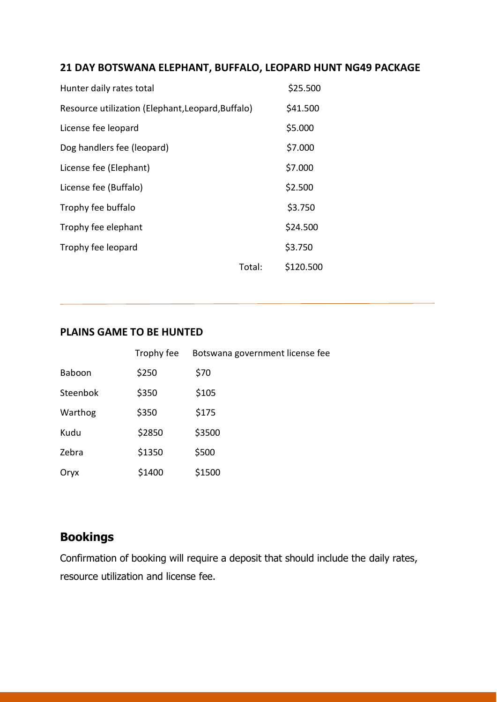#### **21 DAY BOTSWANA ELEPHANT, BUFFALO, LEOPARD HUNT NG49 PACKAGE**

| Hunter daily rates total                          |        | \$25.500  |
|---------------------------------------------------|--------|-----------|
| Resource utilization (Elephant, Leopard, Buffalo) |        | \$41.500  |
| License fee leopard                               |        | \$5.000   |
| Dog handlers fee (leopard)                        |        | \$7.000   |
| License fee (Elephant)                            |        | \$7.000   |
| License fee (Buffalo)                             |        | \$2.500   |
| Trophy fee buffalo                                |        | \$3.750   |
| Trophy fee elephant                               |        | \$24.500  |
| Trophy fee leopard                                |        | \$3.750   |
|                                                   | Total: | \$120.500 |

#### **PLAINS GAME TO BE HUNTED**

|          | Trophy fee | Botswana government license fee |
|----------|------------|---------------------------------|
| Baboon   | \$250      | \$70                            |
| Steenbok | \$350      | \$105                           |
| Warthog  | \$350      | \$175                           |
| Kudu     | \$2850     | \$3500                          |
| Zebra    | \$1350     | \$500                           |
| Oryx     | \$1400     | \$1500                          |

# **Bookings**

Confirmation of booking will require a deposit that should include the daily rates, resource utilization and license fee.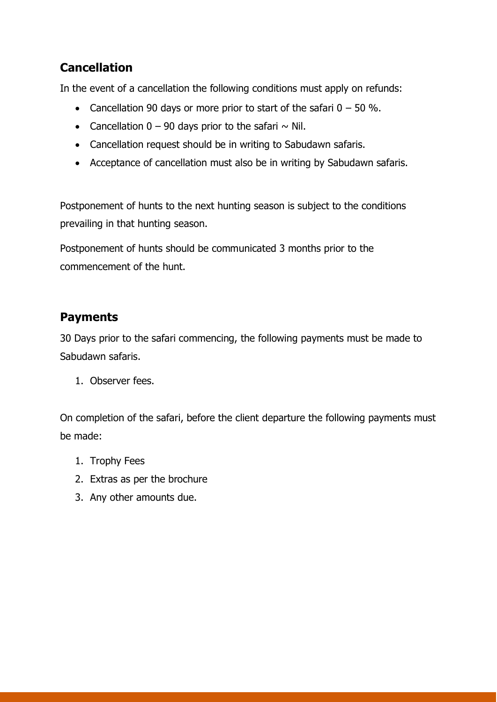## **Cancellation**

In the event of a cancellation the following conditions must apply on refunds:

- Cancellation 90 days or more prior to start of the safari  $0 50$  %.
- Cancellation  $0 90$  days prior to the safari  $\sim$  Nil.
- Cancellation request should be in writing to Sabudawn safaris.
- Acceptance of cancellation must also be in writing by Sabudawn safaris.

Postponement of hunts to the next hunting season is subject to the conditions prevailing in that hunting season.

Postponement of hunts should be communicated 3 months prior to the commencement of the hunt.

## **Payments**

30 Days prior to the safari commencing, the following payments must be made to Sabudawn safaris.

1. Observer fees.

On completion of the safari, before the client departure the following payments must be made:

- 1. Trophy Fees
- 2. Extras as per the brochure
- 3. Any other amounts due.